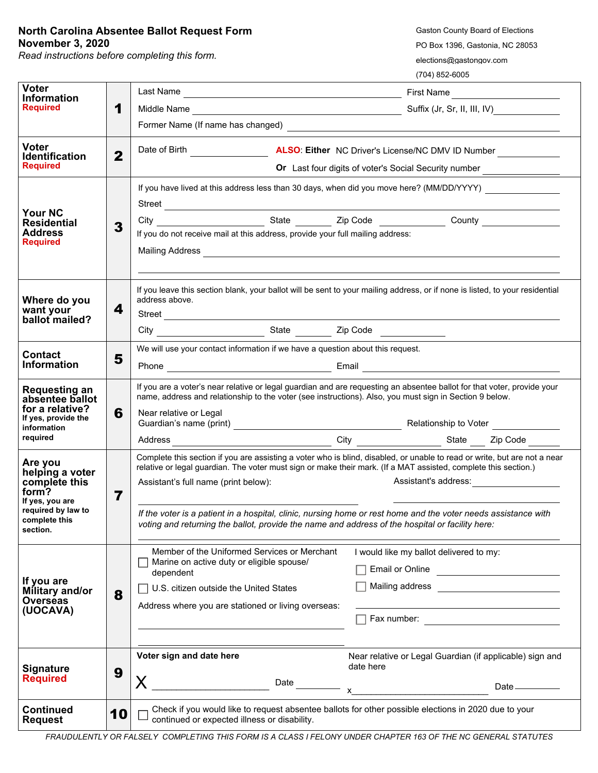## **North Carolina Absentee Ballot Request Form November 3, 2020**

*Read instructions before completing this form.*

Gaston County Board of Elections PO Box 1396, Gastonia, NC 28053 elections@gastongov.com

(704) 852-6005

| <b>Voter</b><br><b>Information</b><br><b>Required</b>                                                                      | 1            |                                                                                                                                                                                                                                                                                                                                                                                                                                                                                                                                   |                                                                                                                                                                                                                                                                                                                          |  |
|----------------------------------------------------------------------------------------------------------------------------|--------------|-----------------------------------------------------------------------------------------------------------------------------------------------------------------------------------------------------------------------------------------------------------------------------------------------------------------------------------------------------------------------------------------------------------------------------------------------------------------------------------------------------------------------------------|--------------------------------------------------------------------------------------------------------------------------------------------------------------------------------------------------------------------------------------------------------------------------------------------------------------------------|--|
|                                                                                                                            |              |                                                                                                                                                                                                                                                                                                                                                                                                                                                                                                                                   |                                                                                                                                                                                                                                                                                                                          |  |
|                                                                                                                            |              |                                                                                                                                                                                                                                                                                                                                                                                                                                                                                                                                   |                                                                                                                                                                                                                                                                                                                          |  |
| <b>Voter</b><br><b>Identification</b><br><b>Required</b>                                                                   | $\mathbf{2}$ | Date of Birth <b>Exercise 20</b><br><b>ALSO: Either</b> NC Driver's License/NC DMV ID Number                                                                                                                                                                                                                                                                                                                                                                                                                                      |                                                                                                                                                                                                                                                                                                                          |  |
|                                                                                                                            |              | Or Last four digits of voter's Social Security number _______________                                                                                                                                                                                                                                                                                                                                                                                                                                                             |                                                                                                                                                                                                                                                                                                                          |  |
| <b>Your NC</b><br><b>Residential</b><br><b>Address</b><br><b>Required</b>                                                  | 3            | Street <u>Alexander Street</u>                                                                                                                                                                                                                                                                                                                                                                                                                                                                                                    | If you have lived at this address less than 30 days, when did you move here? (MM/DD/YYYY)                                                                                                                                                                                                                                |  |
|                                                                                                                            |              | If you do not receive mail at this address, provide your full mailing address:<br>Mailing Address <b>Community of the Community of the Community of the Community of the Community of the Community of the Community of the Community of the Community of the Community of the Community of the Community of the C</b>                                                                                                                                                                                                            |                                                                                                                                                                                                                                                                                                                          |  |
| Where do you<br>want your<br>ballot mailed?                                                                                | 4            | address above.                                                                                                                                                                                                                                                                                                                                                                                                                                                                                                                    | If you leave this section blank, your ballot will be sent to your mailing address, or if none is listed, to your residential                                                                                                                                                                                             |  |
|                                                                                                                            |              |                                                                                                                                                                                                                                                                                                                                                                                                                                                                                                                                   |                                                                                                                                                                                                                                                                                                                          |  |
| <b>Contact</b><br><b>Information</b>                                                                                       | 5            | We will use your contact information if we have a question about this request.                                                                                                                                                                                                                                                                                                                                                                                                                                                    |                                                                                                                                                                                                                                                                                                                          |  |
|                                                                                                                            |              |                                                                                                                                                                                                                                                                                                                                                                                                                                                                                                                                   |                                                                                                                                                                                                                                                                                                                          |  |
| <b>Requesting an</b><br>absentee ballot<br>for a relative?<br>If yes, provide the                                          | 6            | name, address and relationship to the voter (see instructions). Also, you must sign in Section 9 below.<br>Near relative or Legal                                                                                                                                                                                                                                                                                                                                                                                                 | If you are a voter's near relative or legal guardian and are requesting an absentee ballot for that voter, provide your                                                                                                                                                                                                  |  |
| information<br>required                                                                                                    |              |                                                                                                                                                                                                                                                                                                                                                                                                                                                                                                                                   |                                                                                                                                                                                                                                                                                                                          |  |
| Are you<br>helping a voter<br>complete this<br>form?<br>If yes, you are<br>required by law to<br>complete this<br>section. | 7            | Complete this section if you are assisting a voter who is blind, disabled, or unable to read or write, but are not a near<br>relative or legal guardian. The voter must sign or make their mark. (If a MAT assisted, complete this section.)<br>Assistant's address:<br>Assistant's full name (print below):<br>If the voter is a patient in a hospital, clinic, nursing home or rest home and the voter needs assistance with<br>voting and returning the ballot, provide the name and address of the hospital or facility here: |                                                                                                                                                                                                                                                                                                                          |  |
| If you are<br>Military and/or<br><b>Overseas</b><br>(UOCAVA)                                                               | 8            | Member of the Uniformed Services or Merchant<br>Marine on active duty or eligible spouse/<br>dependent<br>U.S. citizen outside the United States<br>Address where you are stationed or living overseas:                                                                                                                                                                                                                                                                                                                           | I would like my ballot delivered to my:<br>Email or Online<br>Mailing address _____________________________                                                                                                                                                                                                              |  |
| <b>Signature</b><br><b>Required</b>                                                                                        | 9            | Voter sign and date here<br>X<br>Date ________                                                                                                                                                                                                                                                                                                                                                                                                                                                                                    | Near relative or Legal Guardian (if applicable) sign and<br>date here<br>Date _________<br>$x$ and $x$ and $x$ and $x$ and $x$ and $x$ and $x$ and $x$ and $x$ and $x$ and $x$ and $x$ and $x$ and $x$ and $x$ and $x$ and $x$ and $x$ and $x$ and $x$ and $x$ and $x$ and $x$ and $x$ and $x$ and $x$ and $x$ and $x$ a |  |
| <b>Continued</b><br><b>Request</b>                                                                                         | 10           | Check if you would like to request absentee ballots for other possible elections in 2020 due to your<br>continued or expected illness or disability.                                                                                                                                                                                                                                                                                                                                                                              |                                                                                                                                                                                                                                                                                                                          |  |

*FRAUDULENTLY OR FALSELY COMPLETING THIS FORM IS A CLASS I FELONY UNDER CHAPTER 163 OF THE NC GENERAL STATUTES*